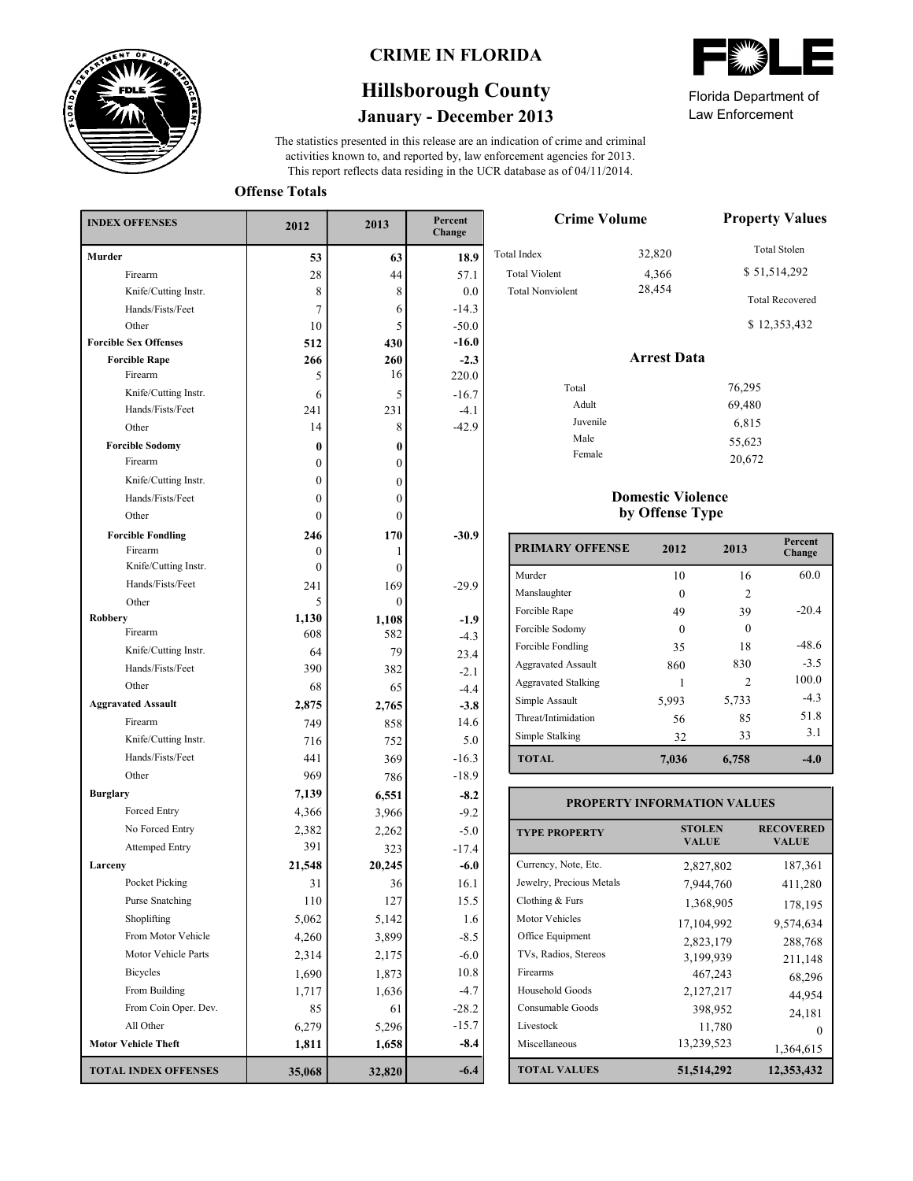

### **CRIME IN FLORIDA**

# **January - December 2013 Hillsborough County**

This report reflects data residing in the UCR database as of 04/11/2014. activities known to, and reported by, law enforcement agencies for 2013. The statistics presented in this release are an indication of crime and criminal

**Offense Totals**

| <b>INDEX OFFENSES</b>        | 2012             | 2013             | Percent<br>Change |
|------------------------------|------------------|------------------|-------------------|
| Murder                       | 53               | 63               | 18.9              |
| Firearm                      | 28               | 44               | 57.1              |
| Knife/Cutting Instr.         | 8                | 8                | 0.0               |
| Hands/Fists/Feet             | 7                | 6                | $-14.3$           |
| Other                        | 10               | 5                | $-50.0$           |
| <b>Forcible Sex Offenses</b> | 512              | 430              | $-16.0$           |
| <b>Forcible Rape</b>         | 266              | 260              | $-2.3$            |
| Firearm                      | 5                | 16               | 220.0             |
| Knife/Cutting Instr.         | 6                | 5                | $-16.7$           |
| Hands/Fists/Feet             | 241              | 231              | $-4.1$            |
| Other                        | 14               | 8                | $-42.9$           |
| <b>Forcible Sodomy</b>       | 0                | $\bf{0}$         |                   |
| Firearm                      | 0                | $\mathbf{0}$     |                   |
| Knife/Cutting Instr.         | 0                | $\mathbf{0}$     |                   |
| Hands/Fists/Feet             | 0                | $\mathbf{0}$     |                   |
| Other                        | 0                | $\theta$         |                   |
| <b>Forcible Fondling</b>     | 246              | 170              | $-30.9$           |
| Firearm                      | 0                | 1                |                   |
| Knife/Cutting Instr.         | $\boldsymbol{0}$ | $\mathbf{0}$     |                   |
| Hands/Fists/Feet             | 241              | 169              | $-29.9$           |
| Other                        | 5                | $\boldsymbol{0}$ |                   |
| <b>Robbery</b><br>Firearm    | 1,130            | 1,108            | $-1.9$            |
|                              | 608              | 582              | $-4.3$            |
| Knife/Cutting Instr.         | 64               | 79               | 23.4              |
| Hands/Fists/Feet             | 390              | 382              | $-2.1$            |
| Other                        | 68               | 65               | $-4.4$            |
| <b>Aggravated Assault</b>    | 2,875            | 2,765            | $-3.8$            |
| Firearm                      | 749              | 858              | 14.6              |
| Knife/Cutting Instr.         | 716              | 752              | 5.0               |
| Hands/Fists/Feet             | 441              | 369              | $-16.3$           |
| Other                        | 969              | 786              | $-18.9$           |
| <b>Burglary</b>              | 7,139            | 6,551            | $-8.2$            |
| Forced Entry                 | 4,366            | 3,966            | $-9.2$            |
| No Forced Entry              | 2,382            | 2,262            | $-5.0$            |
| <b>Attemped Entry</b>        | 391              | 323              | $-17.4$           |
| Larceny                      | 21,548           | 20,245           | $-6.0$            |
| Pocket Picking               | 31               | 36               | $16.1\,$          |
| Purse Snatching              | 110              | 127              | 15.5              |
| Shoplifting                  | 5,062            | 5,142            | 1.6               |
| From Motor Vehicle           | 4,260            | 3,899            | $-8.5$            |
| Motor Vehicle Parts          | 2,314            | 2,175            | $-6.0$            |
| <b>Bicycles</b>              | 1,690            | 1,873            | 10.8              |
| From Building                | 1,717            | 1,636            | $-4.7$            |
| From Coin Oper. Dev.         | 85               | 61               | $-28.2$           |
| All Other                    | 6,279            | 5,296            | $-15.7$           |
| <b>Motor Vehicle Theft</b>   | 1,811            | 1,658            | $-8.4$            |
| <b>TOTAL INDEX OFFENSES</b>  | 35,068           | 32,820           | $-6.4$            |



Law Enforcement Florida Department of

20,672

| <b>Crime Volume</b>     | <b>Property Values</b> |                        |
|-------------------------|------------------------|------------------------|
| <b>Total Index</b>      | 32,820                 | <b>Total Stolen</b>    |
| <b>Total Violent</b>    | 4,366                  | \$51,514,292           |
| <b>Total Nonviolent</b> | 28,454                 | <b>Total Recovered</b> |
|                         |                        | \$12,353,432           |
|                         | <b>Arrest Data</b>     |                        |
| Total                   |                        | 76,295                 |
| Adult                   |                        | 69,480                 |
| Juvenile                |                        | 6,815                  |
| Male                    |                        | 55,623                 |

#### **Domestic Violence by Offense Type**

Female

| <b>PRIMARY OFFENSE</b>     | 2012     | 2013           | Percent<br>Change |
|----------------------------|----------|----------------|-------------------|
| Murder                     | 10       | 16             | 60.0              |
| Manslaughter               |          | $\mathfrak{D}$ |                   |
| Forcible Rape              | 49       | 39             | $-20.4$           |
| Forcible Sodomy            | $\Omega$ | ∩              |                   |
| Forcible Fondling          | 35       | 18             | -48.6             |
| <b>Aggravated Assault</b>  | 860      | 830            | $-3.5$            |
| <b>Aggravated Stalking</b> |          | $\mathfrak{D}$ | 100.0             |
| Simple Assault             | 5,993    | 5,733          | $-4.3$            |
| Threat/Intimidation        | 56       | 85             | 51.8              |
| Simple Stalking            | 32       | 33             | 3.1               |
| <b>TOTAL</b>               | 7,036    | 6,758          | -4.0              |

| <b>PROPERTY INFORMATION VALUES</b> |                               |                                  |  |  |  |  |
|------------------------------------|-------------------------------|----------------------------------|--|--|--|--|
| <b>TYPE PROPERTY</b>               | <b>STOLEN</b><br><b>VALUE</b> | <b>RECOVERED</b><br><b>VALUE</b> |  |  |  |  |
| Currency, Note, Etc.               | 2,827,802                     | 187,361                          |  |  |  |  |
| Jewelry, Precious Metals           | 7,944,760                     | 411,280                          |  |  |  |  |
| Clothing $& Furs$                  | 1,368,905                     | 178,195                          |  |  |  |  |
| Motor Vehicles                     | 17,104,992                    | 9,574,634                        |  |  |  |  |
| Office Equipment                   | 2,823,179                     | 288,768                          |  |  |  |  |
| TVs, Radios, Stereos               | 3,199,939                     | 211,148                          |  |  |  |  |
| Firearms                           | 467,243                       | 68,296                           |  |  |  |  |
| Household Goods                    | 2,127,217                     | 44,954                           |  |  |  |  |
| Consumable Goods                   | 398,952                       | 24,181                           |  |  |  |  |
| Livestock                          | 11,780                        | $\Omega$                         |  |  |  |  |
| Miscellaneous                      | 13,239,523                    | 1,364,615                        |  |  |  |  |
| <b>TOTAL VALUES</b>                | 51,514,292                    | 12,353,432                       |  |  |  |  |